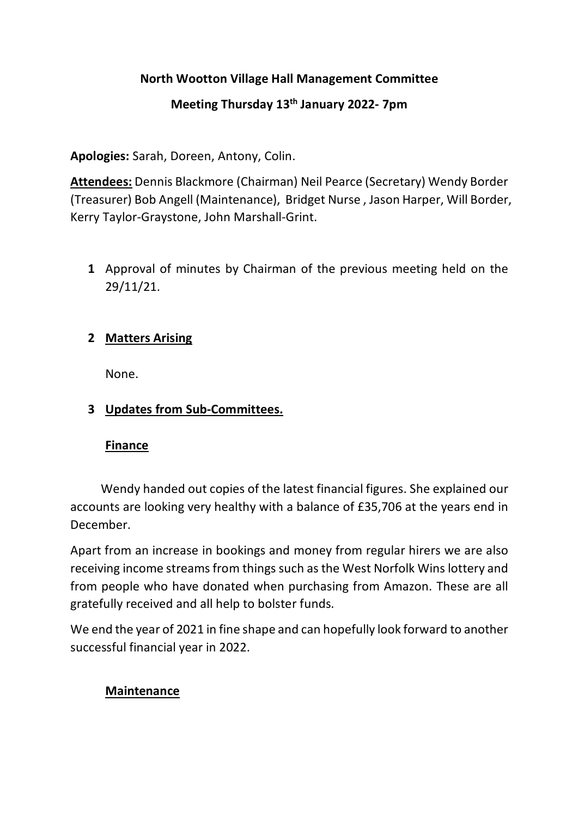## **North Wootton Village Hall Management Committee**

# **Meeting Thursday 13th January 2022- 7pm**

**Apologies:** Sarah, Doreen, Antony, Colin.

**Attendees:** Dennis Blackmore (Chairman) Neil Pearce (Secretary) Wendy Border (Treasurer) Bob Angell (Maintenance), Bridget Nurse , Jason Harper, Will Border, Kerry Taylor-Graystone, John Marshall-Grint.

**1** Approval of minutes by Chairman of the previous meeting held on the 29/11/21.

## **2 Matters Arising**

None.

## **3 Updates from Sub-Committees.**

### **Finance**

 Wendy handed out copies of the latest financial figures. She explained our accounts are looking very healthy with a balance of £35,706 at the years end in December.

Apart from an increase in bookings and money from regular hirers we are also receiving income streams from things such as the West Norfolk Wins lottery and from people who have donated when purchasing from Amazon. These are all gratefully received and all help to bolster funds.

We end the year of 2021 in fine shape and can hopefully look forward to another successful financial year in 2022.

## **Maintenance**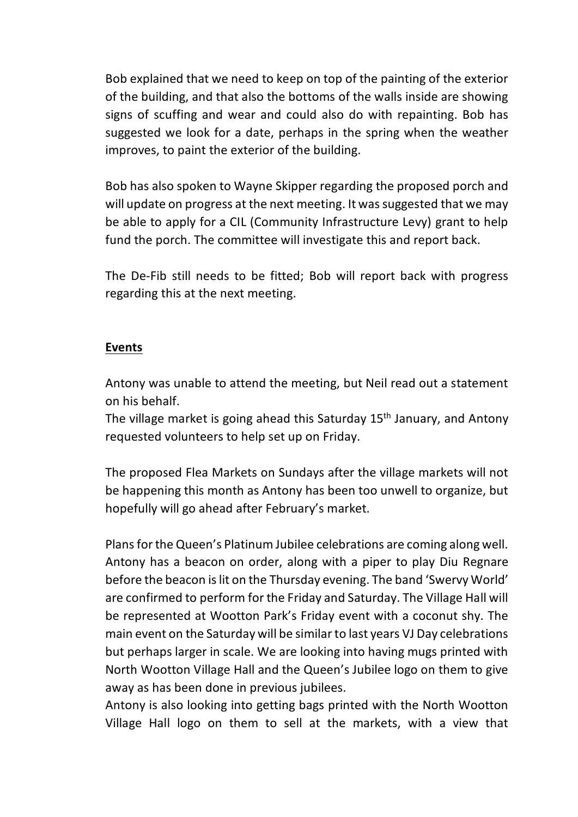Bob explained that we need to keep on top of the painting of the exterior of the building, and that also the bottoms of the walls inside are showing signs of scuffing and wear and could also do with repainting. Bob has suggested we look for a date, perhaps in the spring when the weather improves, to paint the exterior of the building.

Bob has also spoken to Wayne Skipper regarding the proposed porch and will update on progress at the next meeting. It was suggested that we may be able to apply for a CIL (Community Infrastructure Levy) grant to help fund the porch. The committee will investigate this and report back.

The De-Fib still needs to be fitted; Bob will report back with progress regarding this at the next meeting.

### **Events**

Antony was unable to attend the meeting, but Neil read out a statement on his behalf.

The village market is going ahead this Saturday 15<sup>th</sup> January, and Antony requested volunteers to help set up on Friday.

The proposed Flea Markets on Sundays after the village markets will not be happening this month as Antony has been too unwell to organize, but hopefully will go ahead after February's market.

Plans for the Queen's Platinum Jubilee celebrations are coming along well. Antony has a beacon on order, along with a piper to play Diu Regnare before the beacon is lit on the Thursday evening. The band 'Swervy World' are confirmed to perform for the Friday and Saturday. The Village Hall will be represented at Wootton Park's Friday event with a coconut shy. The main event on the Saturday will be similar to last years VJ Day celebrations but perhaps larger in scale. We are looking into having mugs printed with North Wootton Village Hall and the Queen's Jubilee logo on them to give away as has been done in previous jubilees.

Antony is also looking into getting bags printed with the North Wootton Village Hall logo on them to sell at the markets, with a view that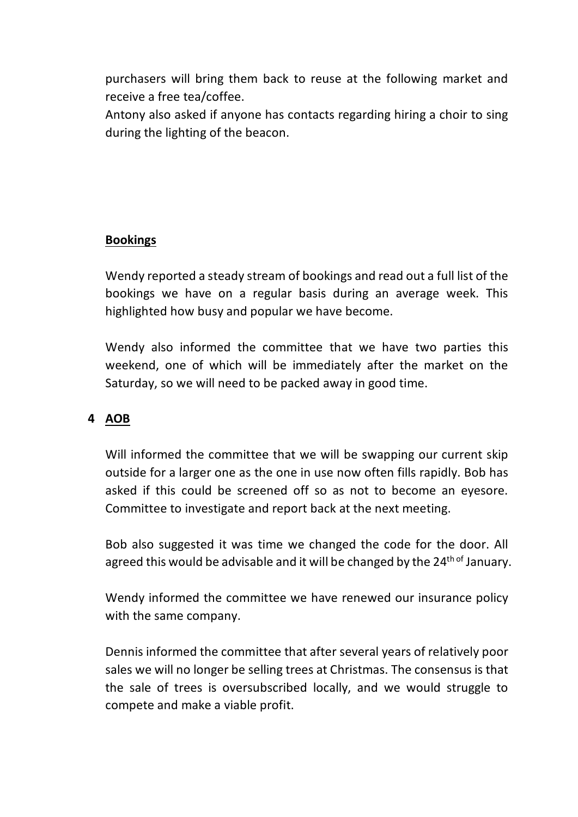purchasers will bring them back to reuse at the following market and receive a free tea/coffee.

Antony also asked if anyone has contacts regarding hiring a choir to sing during the lighting of the beacon.

### **Bookings**

Wendy reported a steady stream of bookings and read out a full list of the bookings we have on a regular basis during an average week. This highlighted how busy and popular we have become.

Wendy also informed the committee that we have two parties this weekend, one of which will be immediately after the market on the Saturday, so we will need to be packed away in good time.

### **4 AOB**

Will informed the committee that we will be swapping our current skip outside for a larger one as the one in use now often fills rapidly. Bob has asked if this could be screened off so as not to become an eyesore. Committee to investigate and report back at the next meeting.

Bob also suggested it was time we changed the code for the door. All agreed this would be advisable and it will be changed by the 24<sup>th of</sup> January.

Wendy informed the committee we have renewed our insurance policy with the same company.

Dennis informed the committee that after several years of relatively poor sales we will no longer be selling trees at Christmas. The consensus is that the sale of trees is oversubscribed locally, and we would struggle to compete and make a viable profit.